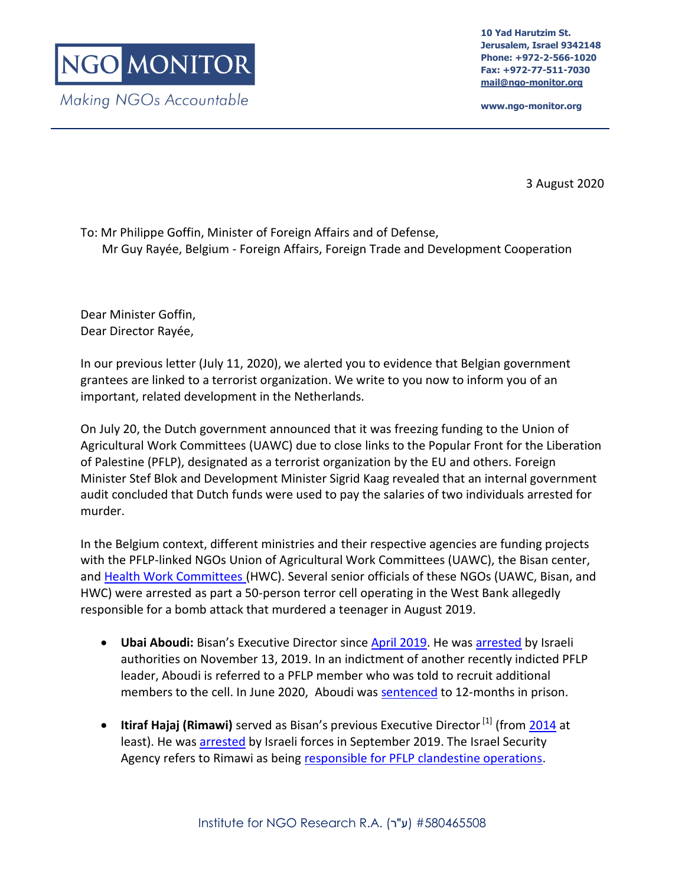**10 Yad Harutzim St. Jerusalem, Israel 9342148 Phone: +972-2-566-1020 Fax: +972-77-511-7030 [mail@ngo-monitor.org](mailto:mail@ngo-monitor.org)**

**www.ngo-monitor.org**

3 August 2020

To: Mr Philippe Goffin, Minister of Foreign Affairs and of Defense, Mr Guy Rayée, Belgium - Foreign Affairs, Foreign Trade and Development Cooperation

Dear Minister Goffin, Dear Director Rayée,

In our previous letter (July 11, 2020), we alerted you to evidence that Belgian government grantees are linked to a terrorist organization. We write to you now to inform you of an important, related development in the Netherlands.

On July 20, the Dutch government announced that it was freezing funding to the Union of Agricultural Work Committees (UAWC) due to close links to the Popular Front for the Liberation of Palestine (PFLP), designated as a terrorist organization by the EU and others. Foreign Minister Stef Blok and Development Minister Sigrid Kaag revealed that an internal government audit concluded that Dutch funds were used to pay the salaries of two individuals arrested for murder.

In the Belgium context, different ministries and their respective agencies are funding projects with the PFLP-linked NGOs Union of Agricultural Work Committees (UAWC), the Bisan center, and [Health Work Committees](https://www.ngo-monitor.org/reports/health-work-committees-ties-to-the-pflp-terror-group/) (HWC). Several senior officials of these NGOs (UAWC, Bisan, and HWC) [were arrested](https://www.ynet.co.il/articles/0,7340,L-5644752,00.html) as part a 50-person terror cell operating in the West Bank allegedly responsible for a bomb attack that murdered a teenager in August 2019.

- Ubai Aboudi: Bisan's Executive Director since **April 2019**. He was [arrested](https://bisan.org/bisan-center-for-research-and-development-denounces-the-arrest-of-its-director-ubai-aboudi/) by Israeli authorities on November 13, 2019. In an indictment of another recently indicted PFLP leader, Aboudi is referred to a PFLP member who was told to recruit additional members to the cell. In June 2020, Aboudi was [sentenced](https://samidoun.net/2020/06/israeli-military-court-sentences-palestinian-american-researcher-ubai-aboudi-in-new-injustice/?fbclid=IwAR3r9URIXTsbsjgBTB8UKD9jk-_QYaX8MHBNRuBDXbhzpqlvV05htNFKZs0) to 12-months in prison.
- **Itiraf Hajaj (Rimawi)** served as Bisan's previous Executive Director<sup>[1]</sup> (from [2014](http://www.addameer.org/prisoner/eteraf-bajes-rimawi-2) at least). He was [arrested](http://english.wafa.ps/page.aspx?id=pbD98Fa113546036406apbD98F&__cf_chl_jschl_tk__=f134d7531ce91fa8f3ebbd5ae449e0d1a24f3743-1577096785-0-AVs8a6Un3nJgn9qEn6m5SZA5zNXS9BXXws8sNSHlvZQ48glx1TfJgCvqjw5O4R4EvTNFak0J63UzAD25RXGzUU5ld20p0H-j25_M-I7lLQlbmCBOgFafIvAB9DBPGT5YaVRLa-x8XDfeTvv2wFbAwhihEaP66np7hJDAxksbua9EQsX40MFqEPNqzMFtlTrGELYlbwV8OTXeN3xnYqLFlh7Q-b6iCGA9yWRLc_D3on1Xh4OqGqU6ukcyOdPOGoKA_NZDZ8udMojwXYRlv20C4zuFcNJPs9JC-zIQk_5RgyI_zF2npT_g1sCiNQEyCAJ8lw) by Israeli forces in September 2019. The Israel Security Agency refers to Rimawi as being [responsible for PFLP clandestine operations.](https://www.google.com/url?q=https://www.shabak.gov.il/publications/Pages/%25D7%2597%25D7%25A9%25D7%2599%25D7%25A4%25D7%25AA-%25D7%25AA%25D7%25A9%25D7%25AA%25D7%2599%25D7%25AA-%25D7%2598%25D7%25A8%25D7%2595%25D7%25A8-%25D7%25A0%25D7%25A8%25D7%2597%25D7%2591%25D7%25AA-%25D7%25A9%25D7%259C-%25D7%2594%25D7%2597%25D7%2596%25D7%2599%25D7%25AA-%25D7%2594%25D7%25A2%25D7%259E%25D7%259E%25D7%2599%25D7%25AA-%25D7%25A9%25D7%25A4%25D7%25A2%25D7%259C%25D7%2594-%25D7%2591%25D7%2590%25D7%2599%25D7%2595%25D7%25A9-.aspx&sa=D&source=hangouts&ust=1576853904261000&usg=AFQjCNF3va1QYccM2ZbZ2rmKYcQcxPlkdg)